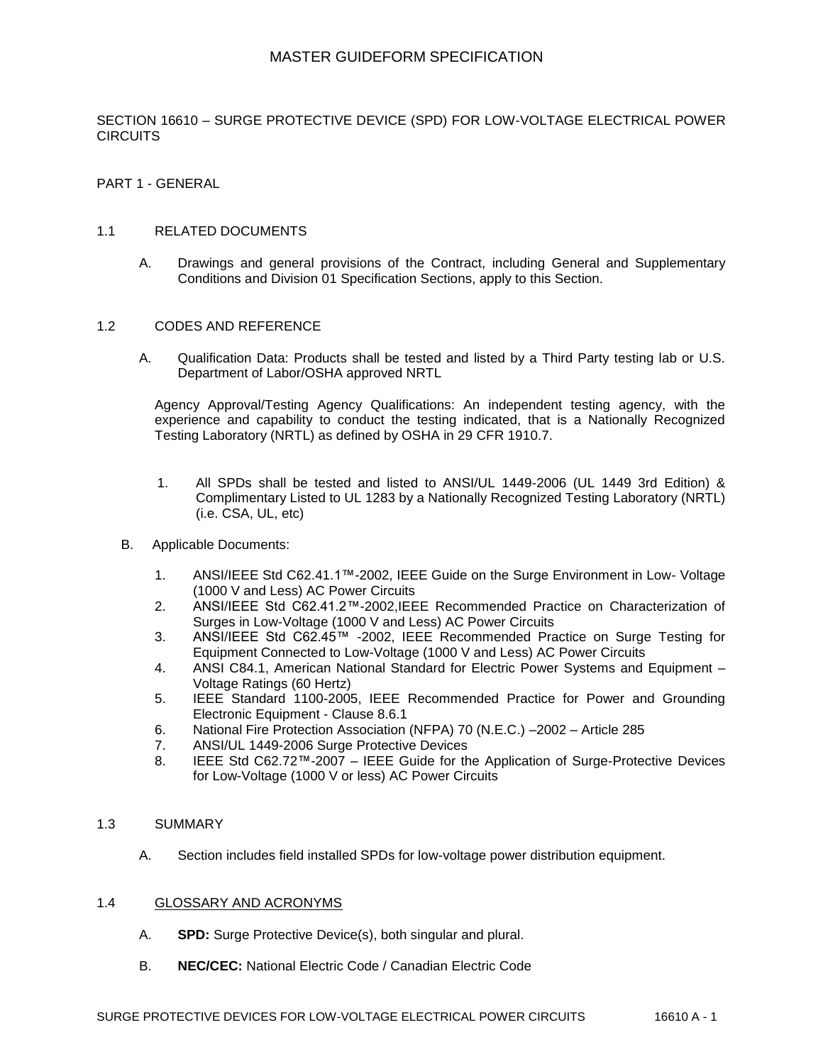SECTION 16610 – SURGE PROTECTIVE DEVICE (SPD) FOR LOW-VOLTAGE ELECTRICAL POWER **CIRCUITS** 

PART 1 - GENERAL

### 1.1 RELATED DOCUMENTS

A. Drawings and general provisions of the Contract, including General and Supplementary Conditions and Division 01 Specification Sections, apply to this Section.

#### 1.2 CODES AND REFERENCE

A. Qualification Data: Products shall be tested and listed by a Third Party testing lab or U.S. Department of Labor/OSHA approved NRTL

Agency Approval/Testing Agency Qualifications: An independent testing agency, with the experience and capability to conduct the testing indicated, that is a Nationally Recognized Testing Laboratory (NRTL) as defined by OSHA in 29 CFR 1910.7.

- 1. All SPDs shall be tested and listed to ANSI/UL 1449-2006 (UL 1449 3rd Edition) & Complimentary Listed to UL 1283 by a Nationally Recognized Testing Laboratory (NRTL) (i.e. CSA, UL, etc)
- B. Applicable Documents:
	- 1. ANSI/IEEE Std C62.41.1™-2002, IEEE Guide on the Surge Environment in Low- Voltage (1000 V and Less) AC Power Circuits
	- 2. ANSI/IEEE Std C62.41.2™-2002,IEEE Recommended Practice on Characterization of Surges in Low-Voltage (1000 V and Less) AC Power Circuits
	- 3. ANSI/IEEE Std C62.45™ -2002, IEEE Recommended Practice on Surge Testing for Equipment Connected to Low-Voltage (1000 V and Less) AC Power Circuits
	- 4. ANSI C84.1, American National Standard for Electric Power Systems and Equipment Voltage Ratings (60 Hertz)
	- 5. IEEE Standard 1100-2005, IEEE Recommended Practice for Power and Grounding Electronic Equipment - Clause 8.6.1
	- 6. National Fire Protection Association (NFPA) 70 (N.E.C.) –2002 Article 285
	- 7. ANSI/UL 1449-2006 Surge Protective Devices
	- 8. IEEE Std C62.72™-2007 IEEE Guide for the Application of Surge-Protective Devices for Low-Voltage (1000 V or less) AC Power Circuits

### 1.3 SUMMARY

A. Section includes field installed SPDs for low-voltage power distribution equipment.

### 1.4 GLOSSARY AND ACRONYMS

- A. **SPD:** Surge Protective Device(s), both singular and plural.
- B. **NEC/CEC:** National Electric Code / Canadian Electric Code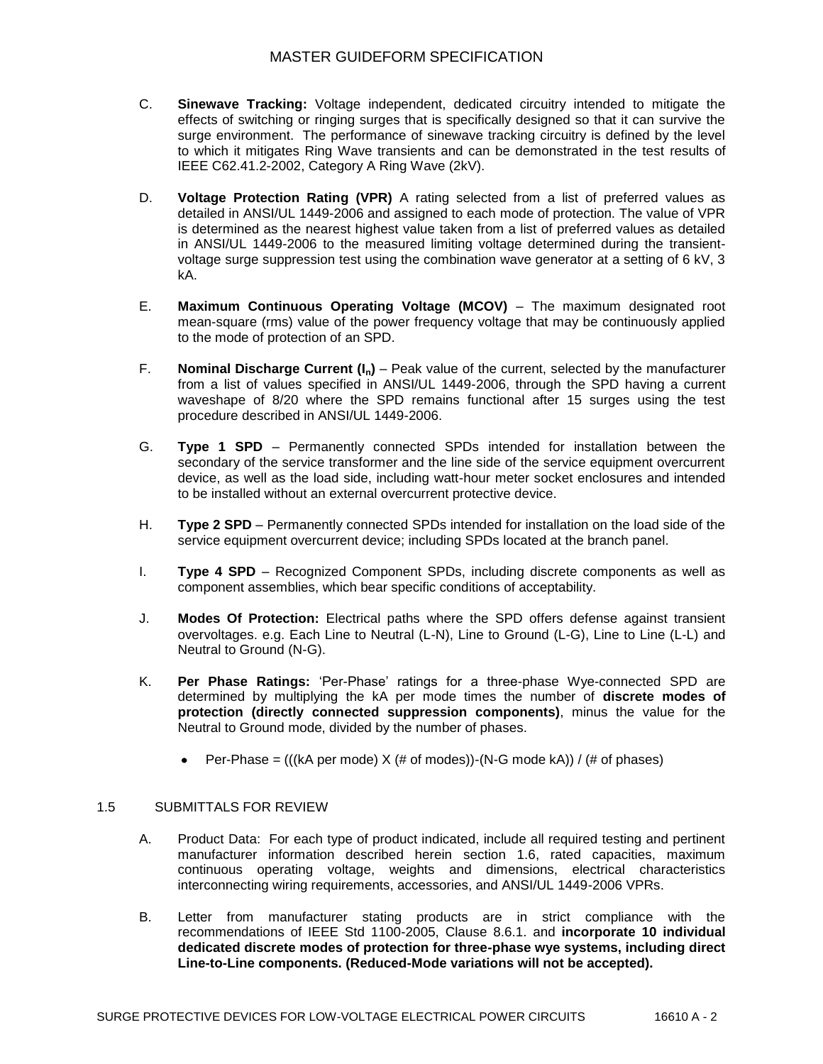- C. **Sinewave Tracking:** Voltage independent, dedicated circuitry intended to mitigate the effects of switching or ringing surges that is specifically designed so that it can survive the surge environment. The performance of sinewave tracking circuitry is defined by the level to which it mitigates Ring Wave transients and can be demonstrated in the test results of IEEE C62.41.2-2002, Category A Ring Wave (2kV).
- D. **Voltage Protection Rating (VPR)** A rating selected from a list of preferred values as detailed in ANSI/UL 1449-2006 and assigned to each mode of protection. The value of VPR is determined as the nearest highest value taken from a list of preferred values as detailed in ANSI/UL 1449-2006 to the measured limiting voltage determined during the transientvoltage surge suppression test using the combination wave generator at a setting of 6 kV, 3 kA.
- E. **Maximum Continuous Operating Voltage (MCOV)** The maximum designated root mean-square (rms) value of the power frequency voltage that may be continuously applied to the mode of protection of an SPD.
- F. **Nominal Discharge Current (In)** Peak value of the current, selected by the manufacturer from a list of values specified in ANSI/UL 1449-2006, through the SPD having a current waveshape of 8/20 where the SPD remains functional after 15 surges using the test procedure described in ANSI/UL 1449-2006.
- G. **Type 1 SPD** Permanently connected SPDs intended for installation between the secondary of the service transformer and the line side of the service equipment overcurrent device, as well as the load side, including watt-hour meter socket enclosures and intended to be installed without an external overcurrent protective device.
- H. **Type 2 SPD** Permanently connected SPDs intended for installation on the load side of the service equipment overcurrent device; including SPDs located at the branch panel.
- I. **Type 4 SPD** Recognized Component SPDs, including discrete components as well as component assemblies, which bear specific conditions of acceptability.
- J. **Modes Of Protection:** Electrical paths where the SPD offers defense against transient overvoltages. e.g. Each Line to Neutral (L-N), Line to Ground (L-G), Line to Line (L-L) and Neutral to Ground (N-G).
- K. **Per Phase Ratings:** "Per-Phase" ratings for a three-phase Wye-connected SPD are determined by multiplying the kA per mode times the number of **discrete modes of protection (directly connected suppression components)**, minus the value for the Neutral to Ground mode, divided by the number of phases.
	- Per-Phase = (((kA per mode)  $X$  (# of modes))-(N-G mode kA)) / (# of phases)  $\bullet$

### 1.5 SUBMITTALS FOR REVIEW

- A. Product Data: For each type of product indicated, include all required testing and pertinent manufacturer information described herein section 1.6, rated capacities, maximum continuous operating voltage, weights and dimensions, electrical characteristics interconnecting wiring requirements, accessories, and ANSI/UL 1449-2006 VPRs.
- B. Letter from manufacturer stating products are in strict compliance with the recommendations of IEEE Std 1100-2005, Clause 8.6.1. and **incorporate 10 individual dedicated discrete modes of protection for three-phase wye systems, including direct Line-to-Line components. (Reduced-Mode variations will not be accepted).**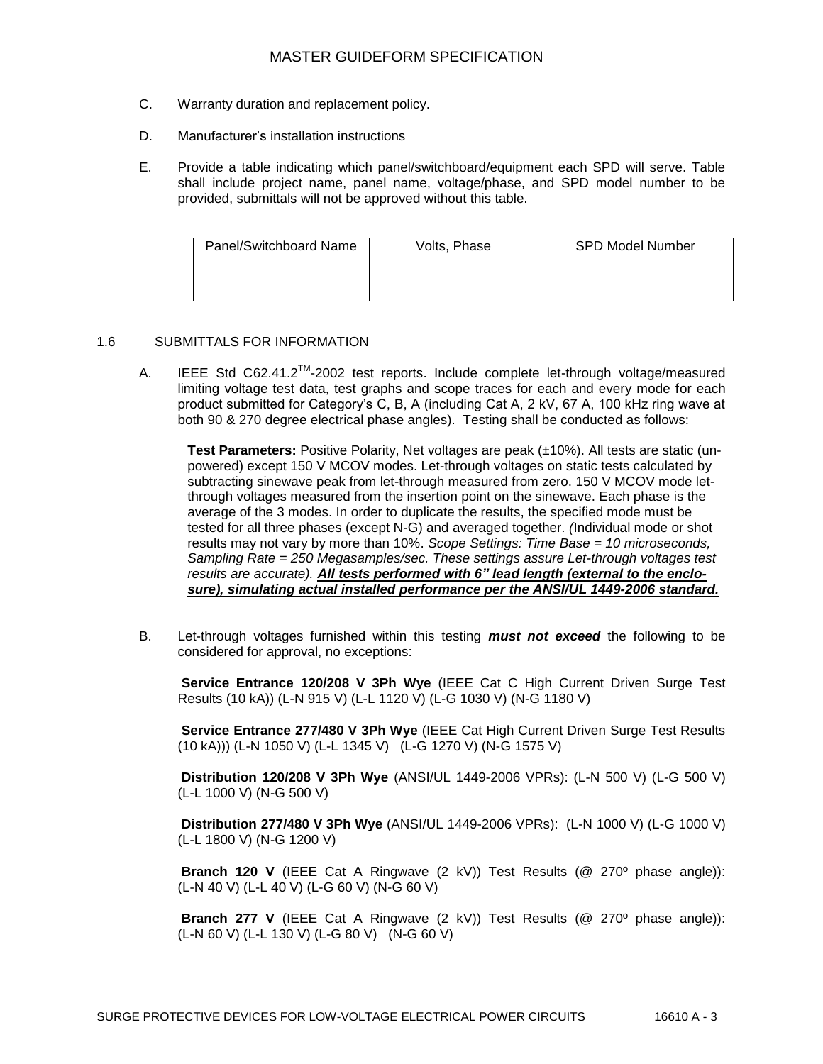- C. Warranty duration and replacement policy.
- D. Manufacturer"s installation instructions
- E. Provide a table indicating which panel/switchboard/equipment each SPD will serve. Table shall include project name, panel name, voltage/phase, and SPD model number to be provided, submittals will not be approved without this table.

| Panel/Switchboard Name | Volts, Phase | <b>SPD Model Number</b> |
|------------------------|--------------|-------------------------|
|                        |              |                         |

## 1.6 SUBMITTALS FOR INFORMATION

A. IEEE Std C62.41.2 $^{TM}$ -2002 test reports. Include complete let-through voltage/measured limiting voltage test data, test graphs and scope traces for each and every mode for each product submitted for Category"s C, B, A (including Cat A, 2 kV, 67 A, 100 kHz ring wave at both 90 & 270 degree electrical phase angles). Testing shall be conducted as follows:

**Test Parameters:** Positive Polarity, Net voltages are peak (±10%). All tests are static (unpowered) except 150 V MCOV modes. Let-through voltages on static tests calculated by subtracting sinewave peak from let-through measured from zero. 150 V MCOV mode letthrough voltages measured from the insertion point on the sinewave. Each phase is the average of the 3 modes. In order to duplicate the results, the specified mode must be tested for all three phases (except N-G) and averaged together. *(*Individual mode or shot results may not vary by more than 10%. *Scope Settings: Time Base = 10 microseconds, Sampling Rate = 250 Megasamples/sec. These settings assure Let-through voltages test results are accurate). All tests performed with 6" lead length (external to the enclosure), simulating actual installed performance per the ANSI/UL 1449-2006 standard.*

B. Let-through voltages furnished within this testing *must not exceed* the following to be considered for approval, no exceptions:

**Service Entrance 120/208 V 3Ph Wye** (IEEE Cat C High Current Driven Surge Test Results (10 kA)) (L-N 915 V) (L-L 1120 V) (L-G 1030 V) (N-G 1180 V)

**Service Entrance 277/480 V 3Ph Wye** (IEEE Cat High Current Driven Surge Test Results (10 kA))) (L-N 1050 V) (L-L 1345 V) (L-G 1270 V) (N-G 1575 V)

**Distribution 120/208 V 3Ph Wye** (ANSI/UL 1449-2006 VPRs): (L-N 500 V) (L-G 500 V) (L-L 1000 V) (N-G 500 V)

**Distribution 277/480 V 3Ph Wye** (ANSI/UL 1449-2006 VPRs): (L-N 1000 V) (L-G 1000 V) (L-L 1800 V) (N-G 1200 V)

**Branch 120 V** (IEEE Cat A Ringwave (2 kV)) Test Results (@ 270º phase angle)): (L-N 40 V) (L-L 40 V) (L-G 60 V) (N-G 60 V)

**Branch 277 V** (IEEE Cat A Ringwave (2 kV)) Test Results (@ 270º phase angle)): (L-N 60 V) (L-L 130 V) (L-G 80 V) (N-G 60 V)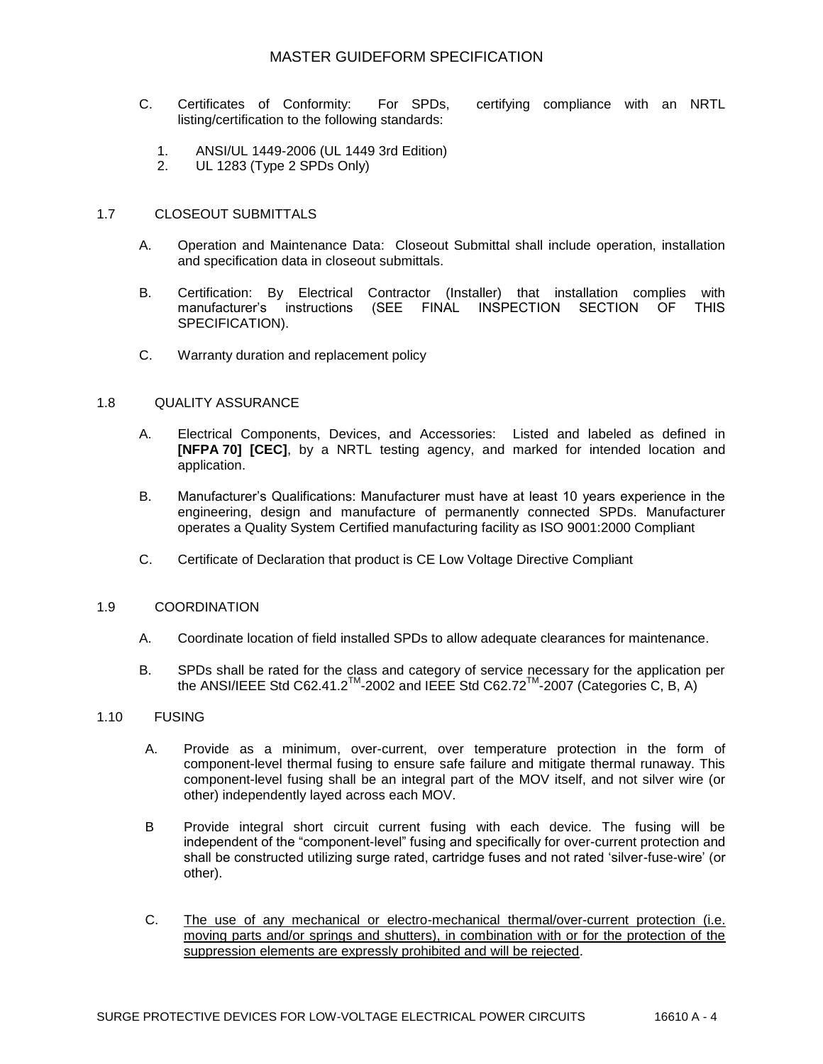- C. Certificates of Conformity: For SPDs, certifying compliance with an NRTL listing/certification to the following standards:
	- 1. ANSI/UL 1449-2006 (UL 1449 3rd Edition)
	- 2. UL 1283 (Type 2 SPDs Only)

## 1.7 CLOSEOUT SUBMITTALS

- A. Operation and Maintenance Data: Closeout Submittal shall include operation, installation and specification data in closeout submittals.
- B. Certification: By Electrical Contractor (Installer) that installation complies with manufacturer"s instructions (SEE FINAL INSPECTION SECTION OF THIS SPECIFICATION).
- C. Warranty duration and replacement policy

## 1.8 QUALITY ASSURANCE

- A. Electrical Components, Devices, and Accessories: Listed and labeled as defined in **[NFPA 70] [CEC]**, by a NRTL testing agency, and marked for intended location and application.
- B. Manufacturer"s Qualifications: Manufacturer must have at least 10 years experience in the engineering, design and manufacture of permanently connected SPDs. Manufacturer operates a Quality System Certified manufacturing facility as ISO 9001:2000 Compliant
- C. Certificate of Declaration that product is CE Low Voltage Directive Compliant

### 1.9 COORDINATION

- A. Coordinate location of field installed SPDs to allow adequate clearances for maintenance.
- B. SPDs shall be rated for the class and category of service necessary for the application per the ANSI/IEEE Std C62.41.2<sup>™</sup>-2002 and IEEE Std C62.72<sup>™</sup>-2007 (Categories C, B, A)

## 1.10 FUSING

- A. Provide as a minimum, over-current, over temperature protection in the form of component-level thermal fusing to ensure safe failure and mitigate thermal runaway. This component-level fusing shall be an integral part of the MOV itself, and not silver wire (or other) independently layed across each MOV.
- B Provide integral short circuit current fusing with each device. The fusing will be independent of the "component-level" fusing and specifically for over-current protection and shall be constructed utilizing surge rated, cartridge fuses and not rated "silver-fuse-wire" (or other).
- C. The use of any mechanical or electro-mechanical thermal/over-current protection (i.e. moving parts and/or springs and shutters), in combination with or for the protection of the suppression elements are expressly prohibited and will be rejected.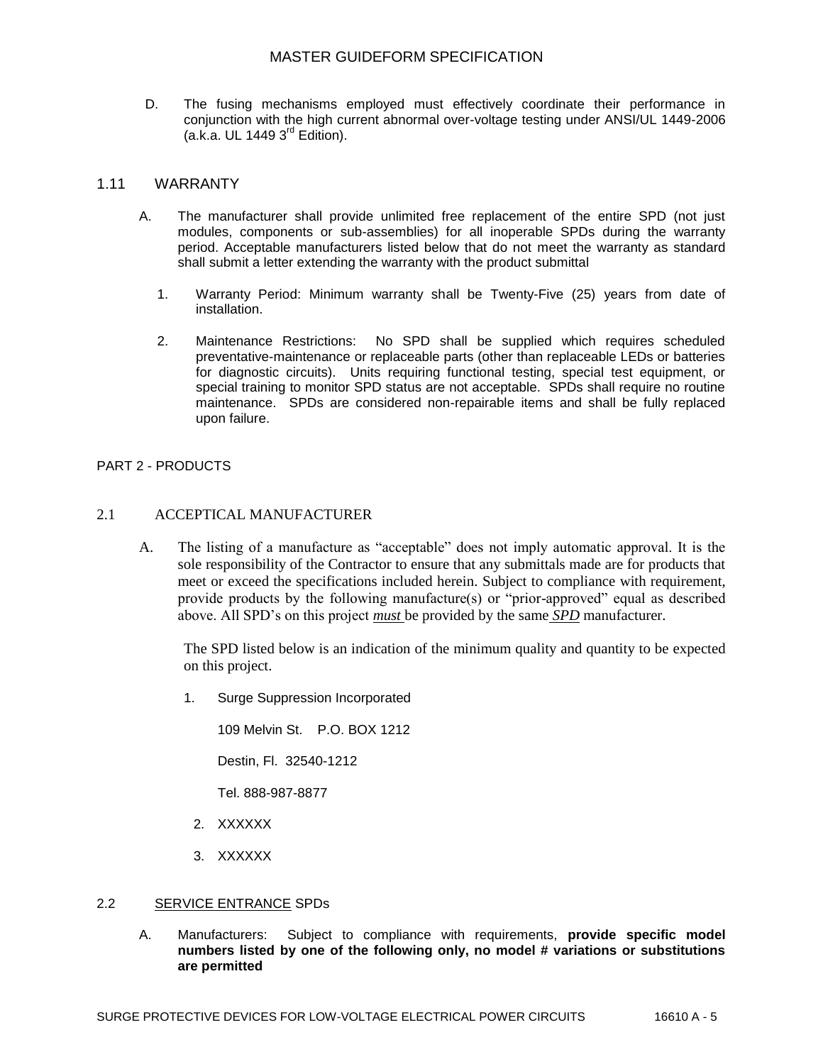D. The fusing mechanisms employed must effectively coordinate their performance in conjunction with the high current abnormal over-voltage testing under ANSI/UL 1449-2006  $(a.k.a. UL 1449 3<sup>rd</sup> Edition).$ 

### 1.11 WARRANTY

- A. The manufacturer shall provide unlimited free replacement of the entire SPD (not just modules, components or sub-assemblies) for all inoperable SPDs during the warranty period. Acceptable manufacturers listed below that do not meet the warranty as standard shall submit a letter extending the warranty with the product submittal
	- 1. Warranty Period: Minimum warranty shall be Twenty-Five (25) years from date of installation.
	- 2. Maintenance Restrictions: No SPD shall be supplied which requires scheduled preventative-maintenance or replaceable parts (other than replaceable LEDs or batteries for diagnostic circuits). Units requiring functional testing, special test equipment, or special training to monitor SPD status are not acceptable. SPDs shall require no routine maintenance. SPDs are considered non-repairable items and shall be fully replaced upon failure.

## PART 2 - PRODUCTS

### 2.1 ACCEPTICAL MANUFACTURER

A. The listing of a manufacture as "acceptable" does not imply automatic approval. It is the sole responsibility of the Contractor to ensure that any submittals made are for products that meet or exceed the specifications included herein. Subject to compliance with requirement, provide products by the following manufacture(s) or "prior-approved" equal as described above. All SPD's on this project *must* be provided by the same *SPD* manufacturer.

The SPD listed below is an indication of the minimum quality and quantity to be expected on this project.

1. Surge Suppression Incorporated

109 Melvin St. P.O. BOX 1212

Destin, Fl. 32540-1212

Tel. 888-987-8877

- 2. XXXXXX
- 3. XXXXXX

### 2.2 SERVICE ENTRANCE SPDs

A. Manufacturers: Subject to compliance with requirements, **provide specific model numbers listed by one of the following only, no model # variations or substitutions are permitted**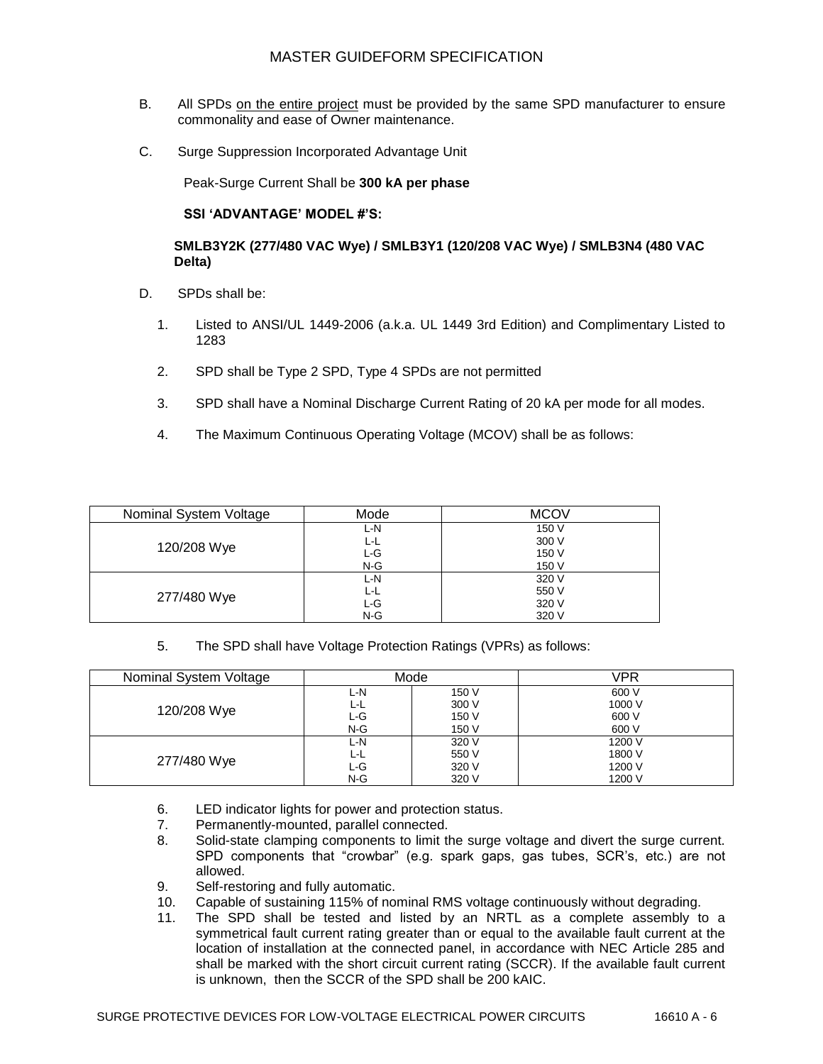- B. All SPDs on the entire project must be provided by the same SPD manufacturer to ensure commonality and ease of Owner maintenance.
- C. Surge Suppression Incorporated Advantage Unit

Peak-Surge Current Shall be **300 kA per phase**

## **SSI 'ADVANTAGE' MODEL #'S:**

## **SMLB3Y2K (277/480 VAC Wye) / SMLB3Y1 (120/208 VAC Wye) / SMLB3N4 (480 VAC Delta)**

- D. SPDs shall be:
	- 1. Listed to ANSI/UL 1449-2006 (a.k.a. UL 1449 3rd Edition) and Complimentary Listed to 1283
	- 2. SPD shall be Type 2 SPD, Type 4 SPDs are not permitted
	- 3. SPD shall have a Nominal Discharge Current Rating of 20 kA per mode for all modes.
	- 4. The Maximum Continuous Operating Voltage (MCOV) shall be as follows:

| Nominal System Voltage | Mode  | <b>MCOV</b> |
|------------------------|-------|-------------|
| 120/208 Wye            | L-N   | 150 V       |
|                        | ĿL    | 300 V       |
|                        | L G   | 150 V       |
|                        | $N-G$ | 150 V       |
| 277/480 Wye            | L-N   | 320 V       |
|                        | L-L   | 550 V       |
|                        | L-G   | 320 V       |
|                        | $N-G$ | 320 V       |

5. The SPD shall have Voltage Protection Ratings (VPRs) as follows:

| Nominal System Voltage | Mode  |       | VPR    |
|------------------------|-------|-------|--------|
| 120/208 Wye            | L-N   | 150 V | 600 V  |
|                        | L-L   | 300 V | 1000 V |
|                        | L-G   | 150 V | 600 V  |
|                        | $N-G$ | 150 V | 600 V  |
| 277/480 Wye            | L-N   | 320 V | 1200 V |
|                        | L-L   | 550 V | 1800 V |
|                        | L-G   | 320 V | 1200 V |
|                        | $N-G$ | 320 V | 1200 V |

- 6. LED indicator lights for power and protection status.
- 7. Permanently-mounted, parallel connected.
- 8. Solid-state clamping components to limit the surge voltage and divert the surge current. SPD components that "crowbar" (e.g. spark gaps, gas tubes, SCR"s, etc.) are not allowed.
- 9. Self-restoring and fully automatic.
- 10. Capable of sustaining 115% of nominal RMS voltage continuously without degrading.
- 11. The SPD shall be tested and listed by an NRTL as a complete assembly to a symmetrical fault current rating greater than or equal to the available fault current at the location of installation at the connected panel, in accordance with NEC Article 285 and shall be marked with the short circuit current rating (SCCR). If the available fault current is unknown, then the SCCR of the SPD shall be 200 kAIC.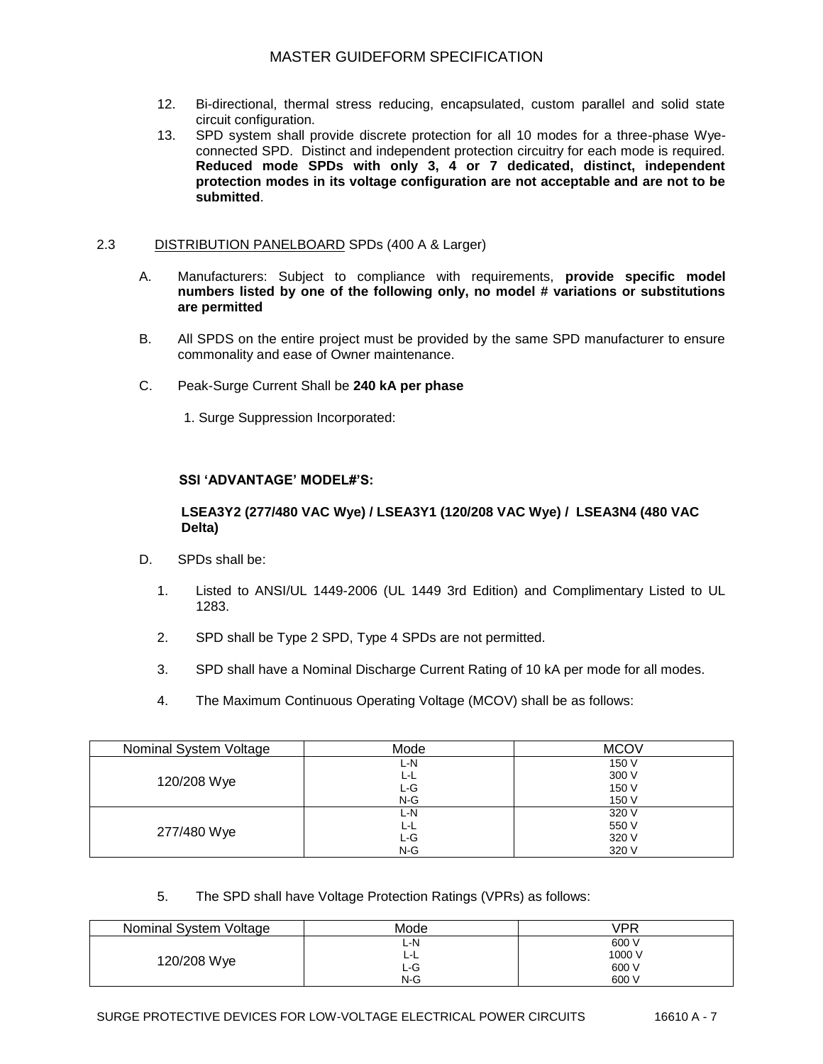- 12. Bi-directional, thermal stress reducing, encapsulated, custom parallel and solid state circuit configuration.
- 13. SPD system shall provide discrete protection for all 10 modes for a three-phase Wyeconnected SPD. Distinct and independent protection circuitry for each mode is required. **Reduced mode SPDs with only 3, 4 or 7 dedicated, distinct, independent protection modes in its voltage configuration are not acceptable and are not to be submitted**.

## 2.3 DISTRIBUTION PANELBOARD SPDs (400 A & Larger)

- A. Manufacturers: Subject to compliance with requirements, **provide specific model numbers listed by one of the following only, no model # variations or substitutions are permitted**
- B. All SPDS on the entire project must be provided by the same SPD manufacturer to ensure commonality and ease of Owner maintenance.
- C. Peak-Surge Current Shall be **240 kA per phase**
	- 1. Surge Suppression Incorporated:

## **SSI 'ADVANTAGE' MODEL#'S:**

## **LSEA3Y2 (277/480 VAC Wye) / LSEA3Y1 (120/208 VAC Wye) / LSEA3N4 (480 VAC Delta)**

- D. SPDs shall be:
	- 1. Listed to ANSI/UL 1449-2006 (UL 1449 3rd Edition) and Complimentary Listed to UL 1283.
	- 2. SPD shall be Type 2 SPD, Type 4 SPDs are not permitted.
	- 3. SPD shall have a Nominal Discharge Current Rating of 10 kA per mode for all modes.
	- 4. The Maximum Continuous Operating Voltage (MCOV) shall be as follows:

| Nominal System Voltage | Mode  | <b>MCOV</b> |
|------------------------|-------|-------------|
| 120/208 Wye            | L-N   | 150 V       |
|                        | L-L   | 300 V       |
|                        | L-G   | 150 V       |
|                        | $N-G$ | 150 V       |
| 277/480 Wye            | L-N   | 320 V       |
|                        | L-L   | 550 V       |
|                        | L-G   | 320 V       |
|                        | $N-G$ | 320 V       |

5. The SPD shall have Voltage Protection Ratings (VPRs) as follows:

| Nominal System Voltage | Mode | VPR    |
|------------------------|------|--------|
| 120/208 Wye            | ∟-N  | 600 V  |
|                        | ᄓ    | 1000 V |
|                        | L-G  | 600 V  |
|                        | N-G  | 600 V  |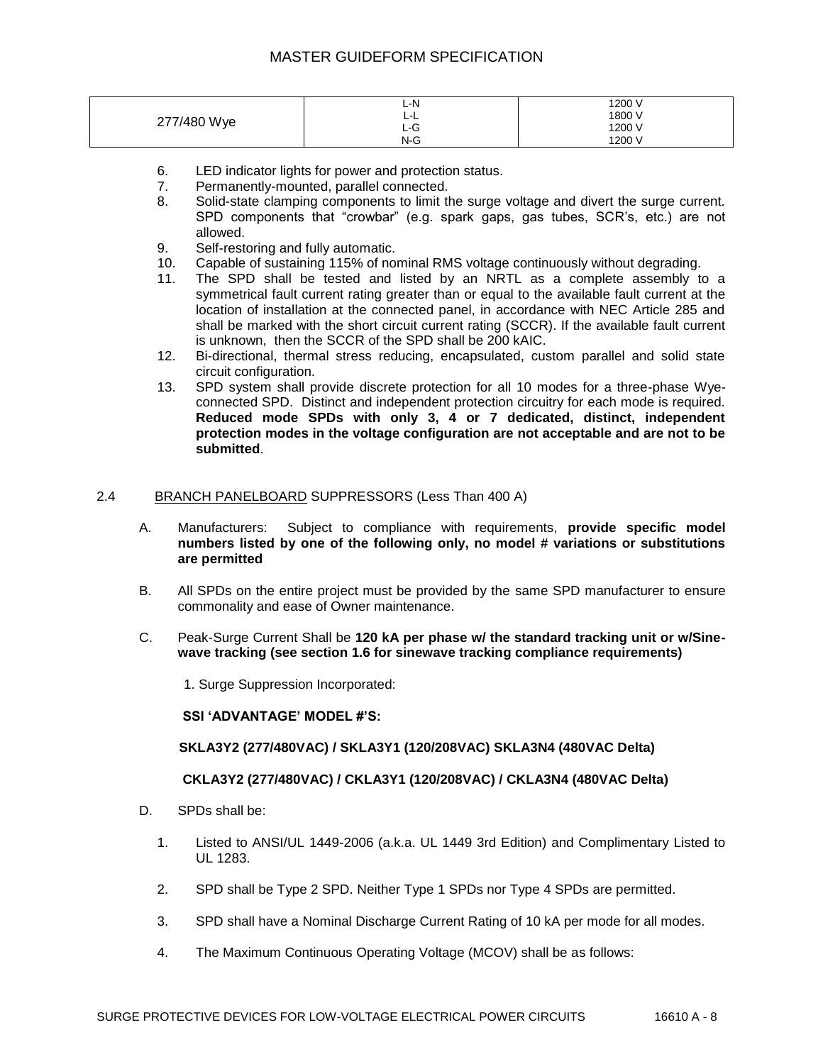| 277/480 Wye | L-N<br>- - - | 1200 V |
|-------------|--------------|--------|
|             | -            | 1800 V |
|             | ∟-⊍          | 1200 V |
|             | $N-G$        | 1200 V |

- 6. LED indicator lights for power and protection status.
- 7. Permanently-mounted, parallel connected.
- 8. Solid-state clamping components to limit the surge voltage and divert the surge current. SPD components that "crowbar" (e.g. spark gaps, gas tubes, SCR"s, etc.) are not allowed.
- 9. Self-restoring and fully automatic.
- 10. Capable of sustaining 115% of nominal RMS voltage continuously without degrading.
- 11. The SPD shall be tested and listed by an NRTL as a complete assembly to a symmetrical fault current rating greater than or equal to the available fault current at the location of installation at the connected panel, in accordance with NEC Article 285 and shall be marked with the short circuit current rating (SCCR). If the available fault current is unknown, then the SCCR of the SPD shall be 200 kAIC.
- 12. Bi-directional, thermal stress reducing, encapsulated, custom parallel and solid state circuit configuration.
- 13. SPD system shall provide discrete protection for all 10 modes for a three-phase Wyeconnected SPD. Distinct and independent protection circuitry for each mode is required. **Reduced mode SPDs with only 3, 4 or 7 dedicated, distinct, independent protection modes in the voltage configuration are not acceptable and are not to be submitted**.

#### 2.4 BRANCH PANELBOARD SUPPRESSORS (Less Than 400 A)

- A. Manufacturers: Subject to compliance with requirements, **provide specific model numbers listed by one of the following only, no model # variations or substitutions are permitted**
- B. All SPDs on the entire project must be provided by the same SPD manufacturer to ensure commonality and ease of Owner maintenance.
- C. Peak-Surge Current Shall be **120 kA per phase w/ the standard tracking unit or w/Sinewave tracking (see section 1.6 for sinewave tracking compliance requirements)**
	- 1. Surge Suppression Incorporated:

### **SSI 'ADVANTAGE' MODEL #'S:**

### **SKLA3Y2 (277/480VAC) / SKLA3Y1 (120/208VAC) SKLA3N4 (480VAC Delta)**

### **CKLA3Y2 (277/480VAC) / CKLA3Y1 (120/208VAC) / CKLA3N4 (480VAC Delta)**

- D. SPDs shall be:
	- 1. Listed to ANSI/UL 1449-2006 (a.k.a. UL 1449 3rd Edition) and Complimentary Listed to UL 1283.
	- 2. SPD shall be Type 2 SPD. Neither Type 1 SPDs nor Type 4 SPDs are permitted.
	- 3. SPD shall have a Nominal Discharge Current Rating of 10 kA per mode for all modes.
	- 4. The Maximum Continuous Operating Voltage (MCOV) shall be as follows: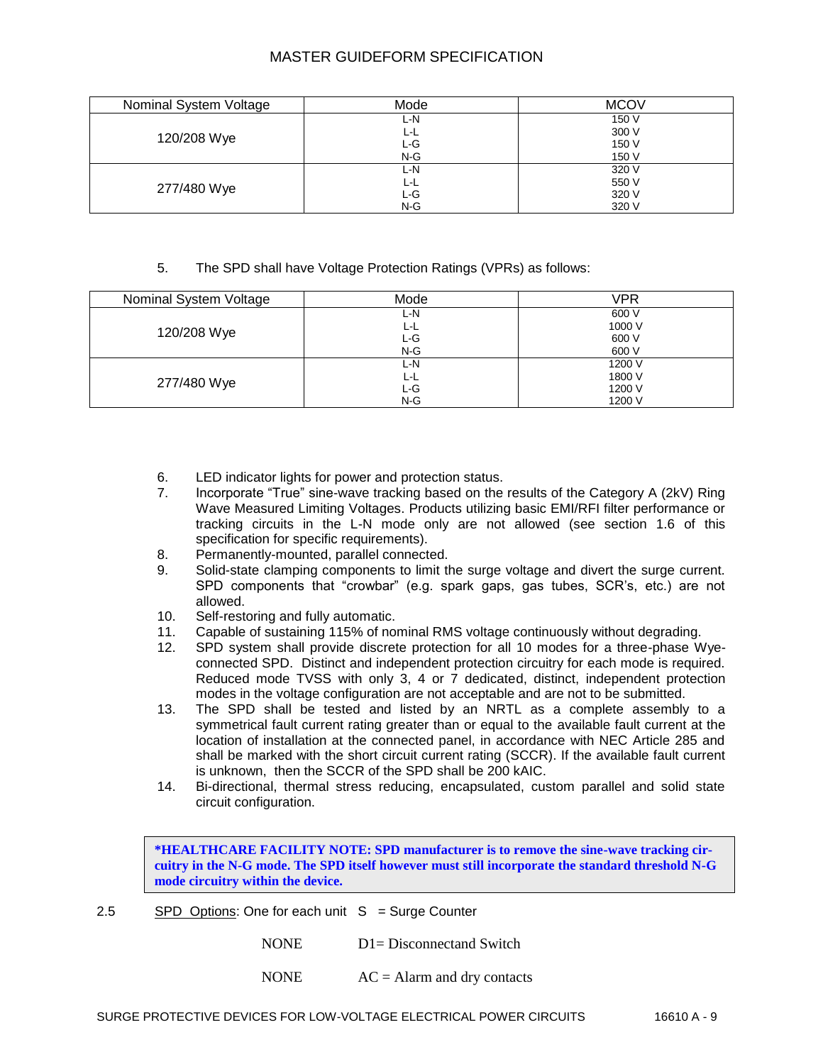| Nominal System Voltage | Mode  | <b>MCOV</b> |
|------------------------|-------|-------------|
|                        | L-N   | 150 V       |
|                        | ∟−∟   | 300 V       |
| 120/208 Wye            | L-G   | 150 V       |
|                        | $N-G$ | 150 V       |
| 277/480 Wye            | L-N   | 320 V       |
|                        | ĿL    | 550 V       |
|                        | L-G   | 320 V       |
|                        | $N-G$ | 320 V       |

## 5. The SPD shall have Voltage Protection Ratings (VPRs) as follows:

| Nominal System Voltage | Mode  | VPR    |
|------------------------|-------|--------|
| 120/208 Wye            | L-N   | 600 V  |
|                        | L-L   | 1000 V |
|                        | L-G   | 600 V  |
|                        | $N-G$ | 600 V  |
| 277/480 Wye            | L-N   | 1200 V |
|                        | L-L   | 1800 V |
|                        | ∟-G   | 1200 V |
|                        | $N-G$ | 1200 V |

- 6. LED indicator lights for power and protection status.
- 7. Incorporate "True" sine-wave tracking based on the results of the Category A (2kV) Ring Wave Measured Limiting Voltages. Products utilizing basic EMI/RFI filter performance or tracking circuits in the L-N mode only are not allowed (see section 1.6 of this specification for specific requirements).
- 8. Permanently-mounted, parallel connected.
- 9. Solid-state clamping components to limit the surge voltage and divert the surge current. SPD components that "crowbar" (e.g. spark gaps, gas tubes, SCR"s, etc.) are not allowed.
- 10. Self-restoring and fully automatic.
- 11. Capable of sustaining 115% of nominal RMS voltage continuously without degrading.
- 12. SPD system shall provide discrete protection for all 10 modes for a three-phase Wyeconnected SPD. Distinct and independent protection circuitry for each mode is required. Reduced mode TVSS with only 3, 4 or 7 dedicated, distinct, independent protection modes in the voltage configuration are not acceptable and are not to be submitted.
- 13. The SPD shall be tested and listed by an NRTL as a complete assembly to a symmetrical fault current rating greater than or equal to the available fault current at the location of installation at the connected panel, in accordance with NEC Article 285 and shall be marked with the short circuit current rating (SCCR). If the available fault current is unknown, then the SCCR of the SPD shall be 200 kAIC.
- 14. Bi-directional, thermal stress reducing, encapsulated, custom parallel and solid state circuit configuration.

**\*HEALTHCARE FACILITY NOTE: SPD manufacturer is to remove the sine-wave tracking circuitry in the N-G mode. The SPD itself however must still incorporate the standard threshold N-G mode circuitry within the device.**

2.5 SPD Options: One for each unit  $S = S$ urge Counter

NONE D1= Disconnectand Switch

NONE  $AC =$  Alarm and dry contacts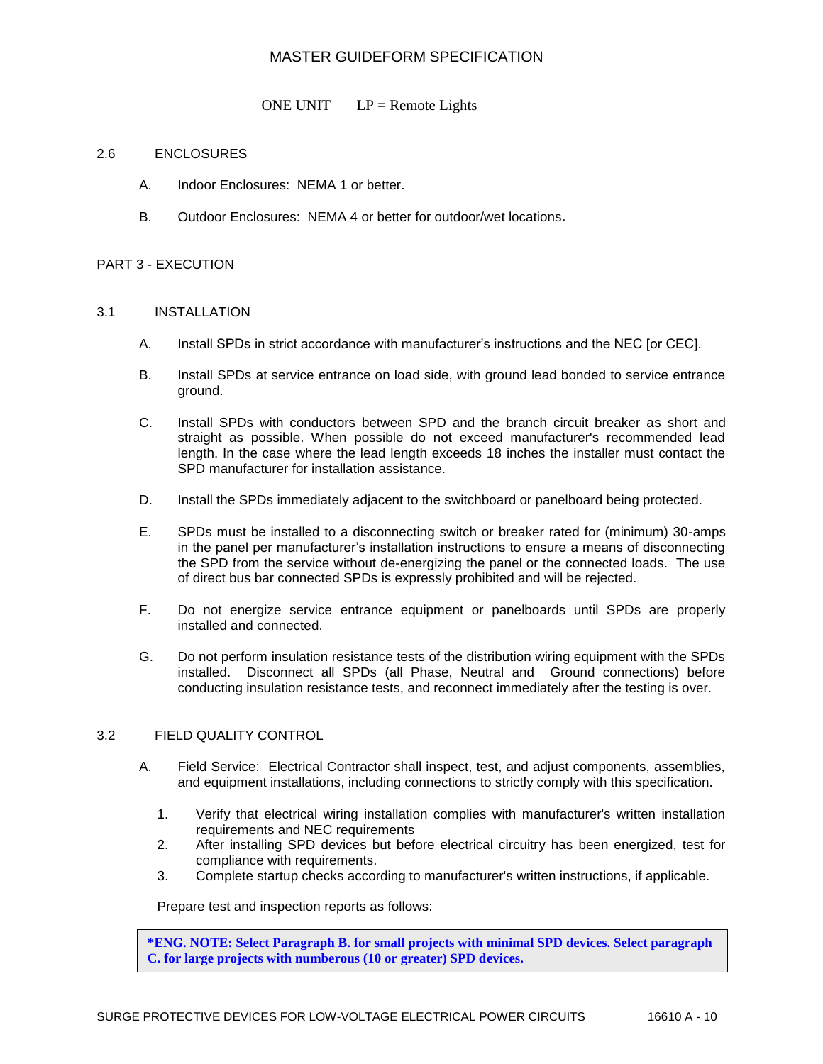ONE UNIT  $LP =$  Remote Lights

#### 2.6 ENCLOSURES

- A. Indoor Enclosures: NEMA 1 or better.
- B. Outdoor Enclosures: NEMA 4 or better for outdoor/wet locations**.**

#### PART 3 - EXECUTION

#### 3.1 INSTALLATION

- A. Install SPDs in strict accordance with manufacturer"s instructions and the NEC [or CEC].
- B. Install SPDs at service entrance on load side, with ground lead bonded to service entrance ground.
- C. Install SPDs with conductors between SPD and the branch circuit breaker as short and straight as possible. When possible do not exceed manufacturer's recommended lead length. In the case where the lead length exceeds 18 inches the installer must contact the SPD manufacturer for installation assistance.
- D. Install the SPDs immediately adjacent to the switchboard or panelboard being protected.
- E. SPDs must be installed to a disconnecting switch or breaker rated for (minimum) 30-amps in the panel per manufacturer"s installation instructions to ensure a means of disconnecting the SPD from the service without de-energizing the panel or the connected loads. The use of direct bus bar connected SPDs is expressly prohibited and will be rejected.
- F. Do not energize service entrance equipment or panelboards until SPDs are properly installed and connected.
- G. Do not perform insulation resistance tests of the distribution wiring equipment with the SPDs installed. Disconnect all SPDs (all Phase, Neutral and Ground connections) before conducting insulation resistance tests, and reconnect immediately after the testing is over.

### 3.2 FIELD QUALITY CONTROL

- A. Field Service: Electrical Contractor shall inspect, test, and adjust components, assemblies, and equipment installations, including connections to strictly comply with this specification.
	- 1. Verify that electrical wiring installation complies with manufacturer's written installation requirements and NEC requirements
	- 2. After installing SPD devices but before electrical circuitry has been energized, test for compliance with requirements.
	- 3. Complete startup checks according to manufacturer's written instructions, if applicable.

Prepare test and inspection reports as follows:

**\*ENG. NOTE: Select Paragraph B. for small projects with minimal SPD devices. Select paragraph C. for large projects with numberous (10 or greater) SPD devices.**